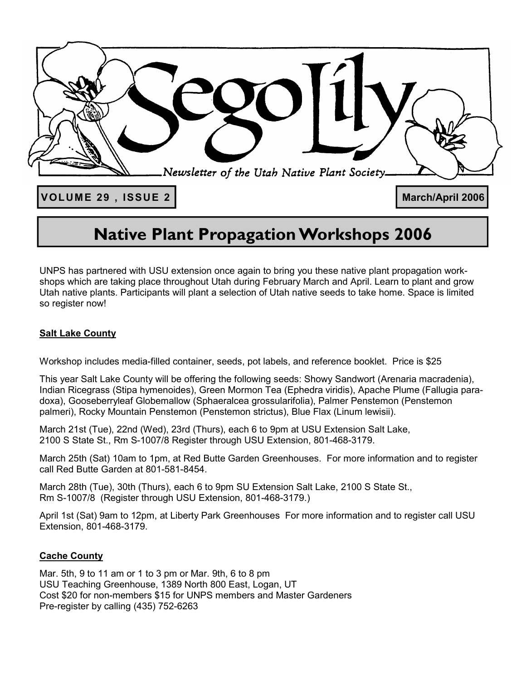

# **Native Plant Propagation Workshops 2006**

UNPS has partnered with USU extension once again to bring you these native plant propagation workshops which are taking place throughout Utah during February March and April. Learn to plant and grow Utah native plants. Participants will plant a selection of Utah native seeds to take home. Space is limited so register now!

### **Salt Lake County**

Workshop includes media-filled container, seeds, pot labels, and reference booklet. Price is \$25

This year Salt Lake County will be offering the following seeds: Showy Sandwort (Arenaria macradenia), Indian Ricegrass (Stipa hymenoides), Green Mormon Tea (Ephedra viridis), Apache Plume (Fallugia paradoxa), Gooseberryleaf Globemallow (Sphaeralcea grossularifolia), Palmer Penstemon (Penstemon palmeri), Rocky Mountain Penstemon (Penstemon strictus), Blue Flax (Linum lewisii).

March 21st (Tue), 22nd (Wed), 23rd (Thurs), each 6 to 9pm at USU Extension Salt Lake, 2100 S State St., Rm S-1007/8 Register through USU Extension, 801-468-3179.

March 25th (Sat) 10am to 1pm, at Red Butte Garden Greenhouses. For more information and to register call Red Butte Garden at 801-581-8454.

March 28th (Tue), 30th (Thurs), each 6 to 9pm SU Extension Salt Lake, 2100 S State St., Rm S-1007/8 (Register through USU Extension, 801-468-3179.)

April 1st (Sat) 9am to 12pm, at Liberty Park Greenhouses For more information and to register call USU Extension, 801-468-3179.

### **Cache County**

Mar. 5th, 9 to 11 am or 1 to 3 pm or Mar. 9th, 6 to 8 pm USU Teaching Greenhouse, 1389 North 800 East, Logan, UT Cost \$20 for non-members \$15 for UNPS members and Master Gardeners Pre-register by calling (435) 752-6263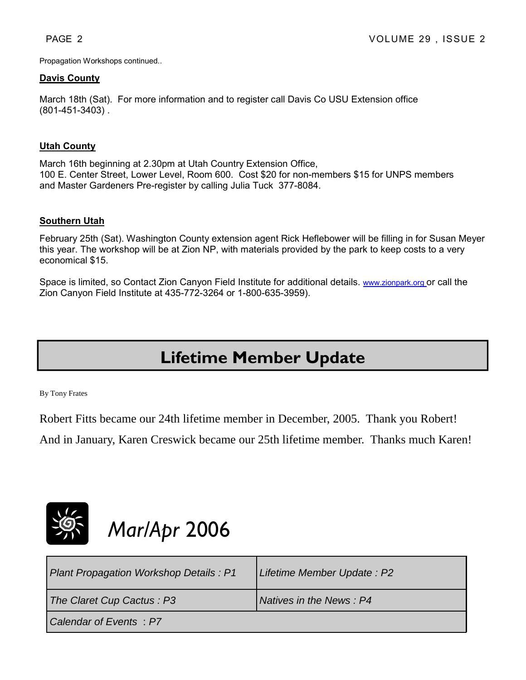Propagation Workshops continued..

#### **Davis County**

March 18th (Sat). For more information and to register call Davis Co USU Extension office (801-451-3403) .

### **Utah County**

March 16th beginning at 2.30pm at Utah Country Extension Office, 100 E. Center Street, Lower Level, Room 600. Cost \$20 for non-members \$15 for UNPS members and Master Gardeners Pre-register by calling Julia Tuck 377-8084.

#### **Southern Utah**

February 25th (Sat). Washington County extension agent Rick Heflebower will be filling in for Susan Meyer this year. The workshop will be at Zion NP, with materials provided by the park to keep costs to a very economical \$15.

Space is limited, so Contact Zion Canyon Field Institute for additional details. www.zionpark.org or call the Zion Canyon Field Institute at 435-772-3264 or 1-800-635-3959).

# **Lifetime Member Update**

By Tony Frates

Robert Fitts became our 24th lifetime member in December, 2005. Thank you Robert!

And in January, Karen Creswick became our 25th lifetime member. Thanks much Karen!



# *Mar/Apr* 2006

| Plant Propagation Workshop Details: P1 | Lifetime Member Update: P2 |
|----------------------------------------|----------------------------|
| The Claret Cup Cactus: P3              | Natives in the News: P4    |
| Calendar of Events : P7                |                            |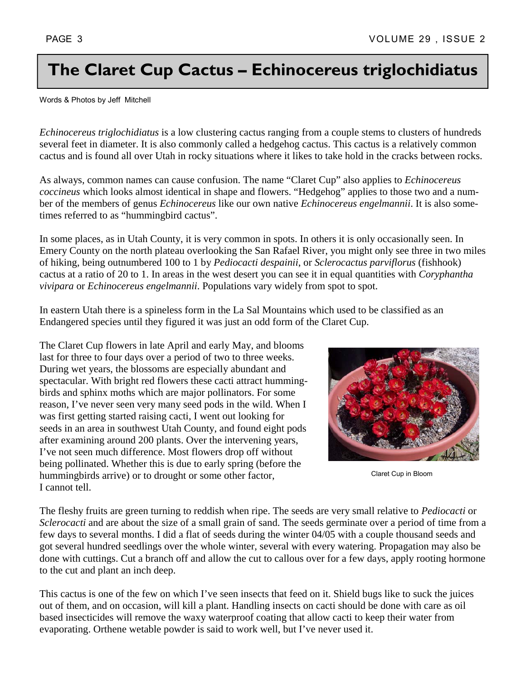# **The Claret Cup Cactus – Echinocereus triglochidiatus**

Words & Photos by Jeff Mitchell

*Echinocereus triglochidiatus* is a low clustering cactus ranging from a couple stems to clusters of hundreds several feet in diameter. It is also commonly called a hedgehog cactus. This cactus is a relatively common cactus and is found all over Utah in rocky situations where it likes to take hold in the cracks between rocks.

As always, common names can cause confusion. The name "Claret Cup" also applies to *Echinocereus coccineus* which looks almost identical in shape and flowers. "Hedgehog" applies to those two and a number of the members of genus *Echinocereus* like our own native *Echinocereus engelmannii*. It is also sometimes referred to as "hummingbird cactus".

In some places, as in Utah County, it is very common in spots. In others it is only occasionally seen. In Emery County on the north plateau overlooking the San Rafael River, you might only see three in two miles of hiking, being outnumbered 100 to 1 by *Pediocacti despainii*, or *Sclerocactus parviflorus* (fishhook) cactus at a ratio of 20 to 1. In areas in the west desert you can see it in equal quantities with *Coryphantha vivipara* or *Echinocereus engelmannii*. Populations vary widely from spot to spot.

In eastern Utah there is a spineless form in the La Sal Mountains which used to be classified as an Endangered species until they figured it was just an odd form of the Claret Cup.

The Claret Cup flowers in late April and early May, and blooms last for three to four days over a period of two to three weeks. During wet years, the blossoms are especially abundant and spectacular. With bright red flowers these cacti attract hummingbirds and sphinx moths which are major pollinators. For some reason, I've never seen very many seed pods in the wild. When I was first getting started raising cacti, I went out looking for seeds in an area in southwest Utah County, and found eight pods after examining around 200 plants. Over the intervening years, I've not seen much difference. Most flowers drop off without being pollinated. Whether this is due to early spring (before the hummingbirds arrive) or to drought or some other factor, I cannot tell.



Claret Cup in Bloom

The fleshy fruits are green turning to reddish when ripe. The seeds are very small relative to *Pediocacti* or *Sclerocacti* and are about the size of a small grain of sand. The seeds germinate over a period of time from a few days to several months. I did a flat of seeds during the winter 04/05 with a couple thousand seeds and got several hundred seedlings over the whole winter, several with every watering. Propagation may also be done with cuttings. Cut a branch off and allow the cut to callous over for a few days, apply rooting hormone to the cut and plant an inch deep.

This cactus is one of the few on which I've seen insects that feed on it. Shield bugs like to suck the juices out of them, and on occasion, will kill a plant. Handling insects on cacti should be done with care as oil based insecticides will remove the waxy waterproof coating that allow cacti to keep their water from evaporating. Orthene wetable powder is said to work well, but I've never used it.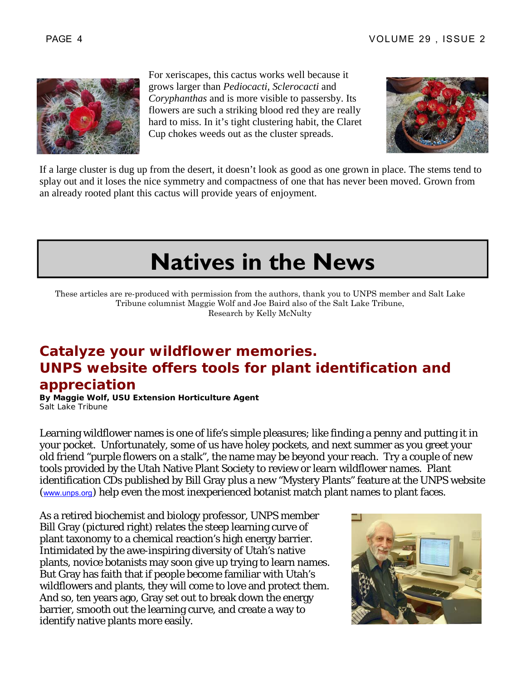

For xeriscapes, this cactus works well because it grows larger than *Pediocacti, Sclerocacti* and *Coryphanthas* and is more visible to passersby. Its flowers are such a striking blood red they are really hard to miss. In it's tight clustering habit, the Claret Cup chokes weeds out as the cluster spreads.



If a large cluster is dug up from the desert, it doesn't look as good as one grown in place. The stems tend to splay out and it loses the nice symmetry and compactness of one that has never been moved. Grown from an already rooted plant this cactus will provide years of enjoyment.

# **Natives in the News**

These articles are re-produced with permission from the authors, thank you to UNPS member and Salt Lake Tribune columnist Maggie Wolf and Joe Baird also of the Salt Lake Tribune, Research by Kelly McNulty

## **Catalyze your wildflower memories. UNPS website offers tools for plant identification and appreciation**

**By Maggie Wolf, USU Extension Horticulture Agent**  Salt Lake Tribune

Learning wildflower names is one of life's simple pleasures; like finding a penny and putting it in your pocket. Unfortunately, some of us have holey pockets, and next summer as you greet your old friend "purple flowers on a stalk", the name may be beyond your reach. Try a couple of new tools provided by the Utah Native Plant Society to review or learn wildflower names. Plant identification CDs published by Bill Gray plus a new "Mystery Plants" feature at the UNPS website (www.unps.org) help even the most inexperienced botanist match plant names to plant faces.

As a retired biochemist and biology professor, UNPS member Bill Gray (pictured right) relates the steep learning curve of plant taxonomy to a chemical reaction's high energy barrier. Intimidated by the awe-inspiring diversity of Utah's native plants, novice botanists may soon give up trying to learn names. But Gray has faith that if people become familiar with Utah's wildflowers and plants, they will come to love and protect them. And so, ten years ago, Gray set out to break down the energy barrier, smooth out the learning curve, and create a way to identify native plants more easily.

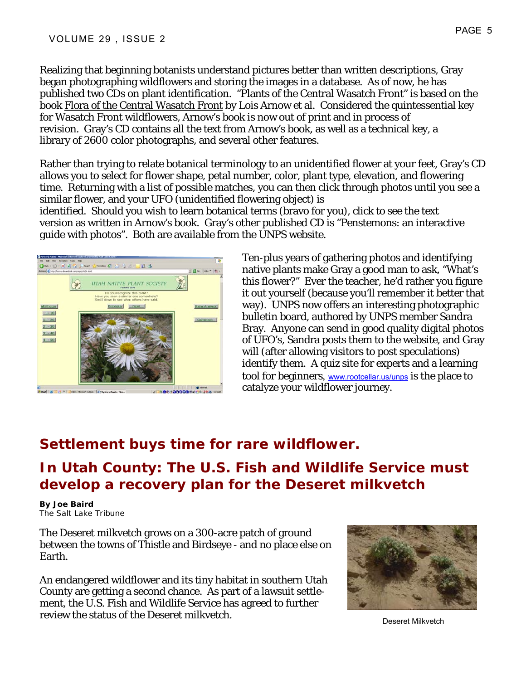Realizing that beginning botanists understand pictures better than written descriptions, Gray began photographing wildflowers and storing the images in a database. As of now, he has published two CDs on plant identification. "Plants of the Central Wasatch Front" is based on the book Flora of the Central Wasatch Front by Lois Arnow et al. Considered the quintessential key for Wasatch Front wildflowers, Arnow's book is now out of print and in process of revision. Gray's CD contains all the text from Arnow's book, as well as a technical key, a library of 2600 color photographs, and several other features.

Rather than trying to relate botanical terminology to an unidentified flower at your feet, Gray's CD allows you to select for flower shape, petal number, color, plant type, elevation, and flowering time. Returning with a list of possible matches, you can then click through photos until you see a similar flower, and your UFO (unidentified flowering object) is

identified. Should you wish to learn botanical terms (bravo for you), click to see the text version as written in Arnow's book. Gray's other published CD is "Penstemons: an interactive guide with photos". Both are available from the UNPS website.



Ten-plus years of gathering photos and identifying native plants make Gray a good man to ask, "What's this flower?" Ever the teacher, he'd rather you figure it out yourself (because you'll remember it better that way). UNPS now offers an interesting photographic bulletin board, authored by UNPS member Sandra Bray. Anyone can send in good quality digital photos of UFO's, Sandra posts them to the website, and Gray will (after allowing visitors to post speculations) identify them. A quiz site for experts and a learning tool for beginners, www.rootcellar.us/unps is the place to catalyze your wildflower journey.

## **Settlement buys time for rare wildflower.**

# **In Utah County: The U.S. Fish and Wildlife Service must develop a recovery plan for the Deseret milkvetch**

**By Joe Baird**  The Salt Lake Tribune

The Deseret milkvetch grows on a 300-acre patch of ground between the towns of Thistle and Birdseye - and no place else on Earth.

An endangered wildflower and its tiny habitat in southern Utah County are getting a second chance. As part of a lawsuit settlement, the U.S. Fish and Wildlife Service has agreed to further review the status of the Deseret milkvetch.<br>Deseret Milkvetch

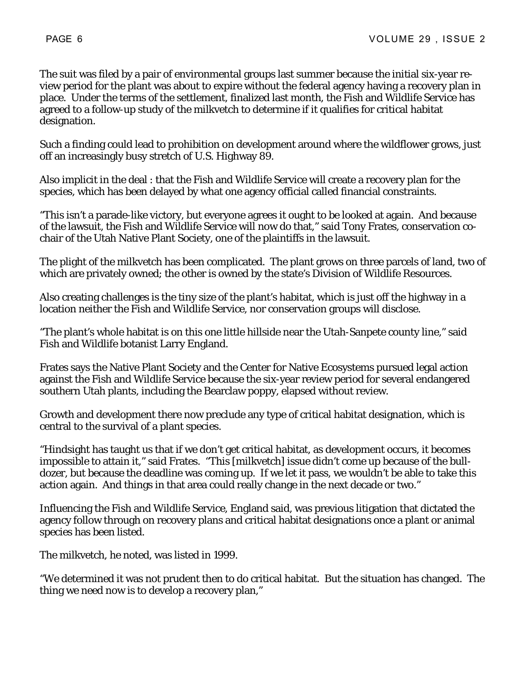The suit was filed by a pair of environmental groups last summer because the initial six-year review period for the plant was about to expire without the federal agency having a recovery plan in place. Under the terms of the settlement, finalized last month, the Fish and Wildlife Service has agreed to a follow-up study of the milkvetch to determine if it qualifies for critical habitat designation.

Such a finding could lead to prohibition on development around where the wildflower grows, just off an increasingly busy stretch of U.S. Highway 89.

Also implicit in the deal : that the Fish and Wildlife Service will create a recovery plan for the species, which has been delayed by what one agency official called financial constraints.

"This isn't a parade-like victory, but everyone agrees it ought to be looked at again. And because of the lawsuit, the Fish and Wildlife Service will now do that," said Tony Frates, conservation cochair of the Utah Native Plant Society, one of the plaintiffs in the lawsuit.

The plight of the milkvetch has been complicated. The plant grows on three parcels of land, two of which are privately owned; the other is owned by the state's Division of Wildlife Resources.

Also creating challenges is the tiny size of the plant's habitat, which is just off the highway in a location neither the Fish and Wildlife Service, nor conservation groups will disclose.

"The plant's whole habitat is on this one little hillside near the Utah-Sanpete county line," said Fish and Wildlife botanist Larry England.

Frates says the Native Plant Society and the Center for Native Ecosystems pursued legal action against the Fish and Wildlife Service because the six-year review period for several endangered southern Utah plants, including the Bearclaw poppy, elapsed without review.

Growth and development there now preclude any type of critical habitat designation, which is central to the survival of a plant species.

"Hindsight has taught us that if we don't get critical habitat, as development occurs, it becomes impossible to attain it," said Frates. "This [milkvetch] issue didn't come up because of the bulldozer, but because the deadline was coming up. If we let it pass, we wouldn't be able to take this action again. And things in that area could really change in the next decade or two."

Influencing the Fish and Wildlife Service, England said, was previous litigation that dictated the agency follow through on recovery plans and critical habitat designations once a plant or animal species has been listed.

The milkvetch, he noted, was listed in 1999.

"We determined it was not prudent then to do critical habitat. But the situation has changed. The thing we need now is to develop a recovery plan,"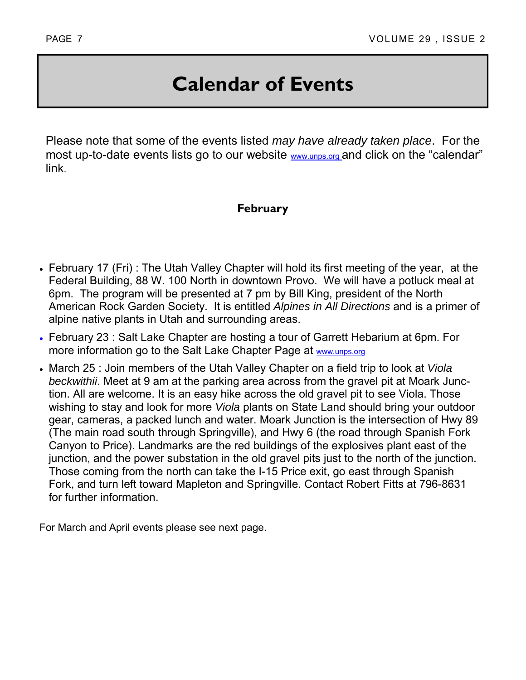# **Calendar of Events**

Please note that some of the events listed *may have already taken place*. For the most up-to-date events lists go to our website www.unps.org and click on the "calendar" link.

### **February**

- February 17 (Fri) : The Utah Valley Chapter will hold its first meeting of the year, at the Federal Building, 88 W. 100 North in downtown Provo. We will have a potluck meal at 6pm. The program will be presented at 7 pm by Bill King, president of the North American Rock Garden Society. It is entitled *Alpines in All Directions* and is a primer of alpine native plants in Utah and surrounding areas.
- February 23 : Salt Lake Chapter are hosting a tour of Garrett Hebarium at 6pm. For more information go to the Salt Lake Chapter Page at www.unps.org
- March 25 : Join members of the Utah Valley Chapter on a field trip to look at *Viola beckwithii*. Meet at 9 am at the parking area across from the gravel pit at Moark Junction. All are welcome. It is an easy hike across the old gravel pit to see Viola. Those wishing to stay and look for more *Viola* plants on State Land should bring your outdoor gear, cameras, a packed lunch and water. Moark Junction is the intersection of Hwy 89 (The main road south through Springville), and Hwy 6 (the road through Spanish Fork Canyon to Price). Landmarks are the red buildings of the explosives plant east of the junction, and the power substation in the old gravel pits just to the north of the junction. Those coming from the north can take the I-15 Price exit, go east through Spanish Fork, and turn left toward Mapleton and Springville. Contact Robert Fitts at 796-8631 for further information.

For March and April events please see next page.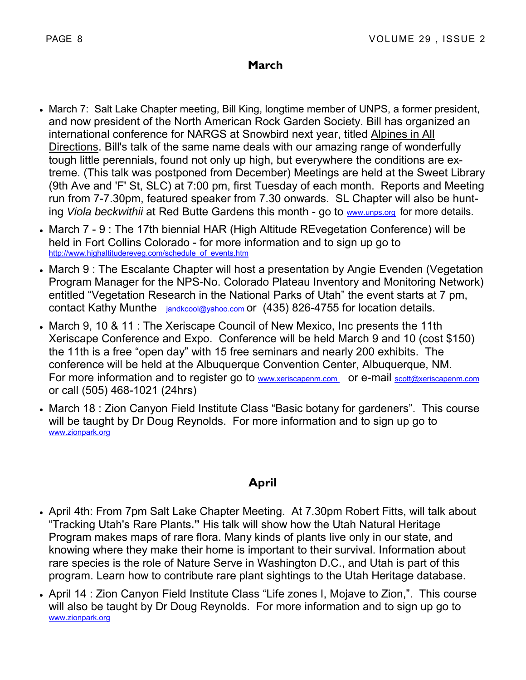### **March**

- March 7: Salt Lake Chapter meeting, Bill King, longtime member of UNPS, a former president, and now president of the North American Rock Garden Society. Bill has organized an international conference for NARGS at Snowbird next year, titled Alpines in All Directions. Bill's talk of the same name deals with our amazing range of wonderfully tough little perennials, found not only up high, but everywhere the conditions are extreme. (This talk was postponed from December) Meetings are held at the Sweet Library (9th Ave and 'F' St, SLC) at 7:00 pm, first Tuesday of each month. Reports and Meeting run from 7-7.30pm, featured speaker from 7.30 onwards. SL Chapter will also be hunting *Viola beckwithii* at Red Butte Gardens this month - go to www.unps.org for more details.
- March 7 9 : The 17th biennial HAR (High Altitude REvegetation Conference) will be held in Fort Collins Colorado - for more information and to sign up go to http://www.highaltitudereveg.com/schedule\_of\_events.htm
- March 9 : The Escalante Chapter will host a presentation by Angie Evenden (Vegetation Program Manager for the NPS-No. Colorado Plateau Inventory and Monitoring Network) entitled "Vegetation Research in the National Parks of Utah" the event starts at 7 pm, contact Kathy Munthe *jandkcool@yahoo.com* or (435) 826-4755 for location details.
- March 9, 10 & 11 : The Xeriscape Council of New Mexico, Inc presents the 11th Xeriscape Conference and Expo. Conference will be held March 9 and 10 (cost \$150) the 11th is a free "open day" with 15 free seminars and nearly 200 exhibits. The conference will be held at the Albuquerque Convention Center, Albuquerque, NM. For more information and to register go to www.xeriscapenm.com or e-mail scott@xeriscapenm.com or call (505) 468-1021 (24hrs)
- March 18 : Zion Canyon Field Institute Class "Basic botany for gardeners". This course will be taught by Dr Doug Reynolds. For more information and to sign up go to www.zionpark.org

### **April**

- April 4th: From 7pm Salt Lake Chapter Meeting. At 7.30pm Robert Fitts, will talk about "Tracking Utah's Rare Plants**."** His talk will show how the Utah Natural Heritage Program makes maps of rare flora. Many kinds of plants live only in our state, and knowing where they make their home is important to their survival. Information about rare species is the role of Nature Serve in Washington D.C., and Utah is part of this program. Learn how to contribute rare plant sightings to the Utah Heritage database.
- April 14 : Zion Canyon Field Institute Class "Life zones I, Mojave to Zion,". This course will also be taught by Dr Doug Reynolds. For more information and to sign up go to www.zionpark.org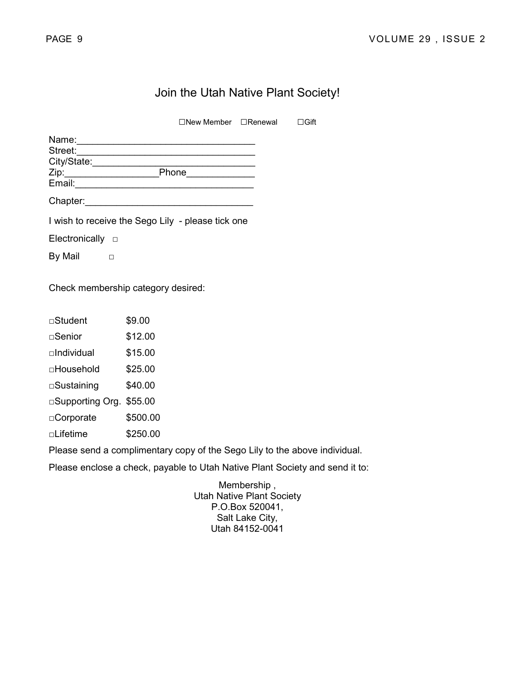### Join the Utah Native Plant Society!

□New Member □Renewal □Gift

| Name:       |       |  |
|-------------|-------|--|
| Street:     |       |  |
| City/State: |       |  |
| Zip:        | Phone |  |
| Email:      |       |  |
| Chapter:    |       |  |

I wish to receive the Sego Lily - please tick one

Electronically □

By Mail  $□$ 

Check membership category desired:

| □Student            | \$9.00   |
|---------------------|----------|
| ⊟Senior             | \$12.00  |
| $\sqcap$ Individual | \$15.00  |
| □Household          | \$25.00  |
| □Sustaining         | \$40.00  |
| □Supporting Org.    | \$55.00  |
| □Corporate          | \$500.00 |
| □Lifetime           | \$250.00 |
|                     |          |

Please send a complimentary copy of the Sego Lily to the above individual.

Please enclose a check, payable to Utah Native Plant Society and send it to:

Membership , Utah Native Plant Society P.O.Box 520041, Salt Lake City, Utah 84152-0041